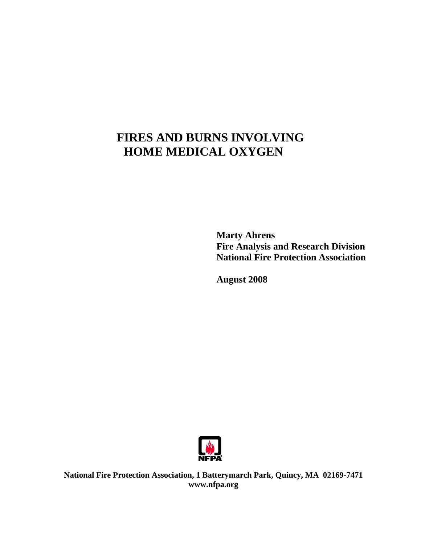## **FIRES AND BURNS INVOLVING HOME MEDICAL OXYGEN**

 **Marty Ahrens Fire Analysis and Research Division National Fire Protection Association** 

 **August 2008** 



**National Fire Protection Association, 1 Batterymarch Park, Quincy, MA 02169-7471 [www.nfpa.org](http://www.nfpa.org)**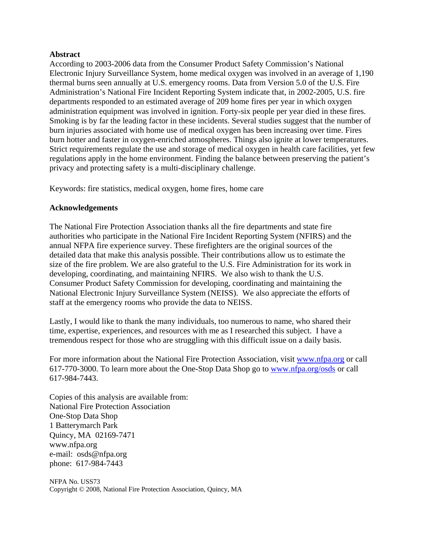#### **Abstract**

According to 2003-2006 data from the Consumer Product Safety Commission's National Electronic Injury Surveillance System, home medical oxygen was involved in an average of 1,190 thermal burns seen annually at U.S. emergency rooms. Data from Version 5.0 of the U.S. Fire Administration's National Fire Incident Reporting System indicate that, in 2002-2005, U.S. fire departments responded to an estimated average of 209 home fires per year in which oxygen administration equipment was involved in ignition. Forty-six people per year died in these fires. Smoking is by far the leading factor in these incidents. Several studies suggest that the number of burn injuries associated with home use of medical oxygen has been increasing over time. Fires burn hotter and faster in oxygen-enriched atmospheres. Things also ignite at lower temperatures. Strict requirements regulate the use and storage of medical oxygen in health care facilities, yet few regulations apply in the home environment. Finding the balance between preserving the patient's privacy and protecting safety is a multi-disciplinary challenge.

Keywords: fire statistics, medical oxygen, home fires, home care

### **Acknowledgements**

The National Fire Protection Association thanks all the fire departments and state fire authorities who participate in the National Fire Incident Reporting System (NFIRS) and the annual NFPA fire experience survey. These firefighters are the original sources of the detailed data that make this analysis possible. Their contributions allow us to estimate the size of the fire problem. We are also grateful to the U.S. Fire Administration for its work in developing, coordinating, and maintaining NFIRS. We also wish to thank the U.S. Consumer Product Safety Commission for developing, coordinating and maintaining the National Electronic Injury Surveillance System (NEISS). We also appreciate the efforts of staff at the emergency rooms who provide the data to NEISS.

Lastly, I would like to thank the many individuals, too numerous to name, who shared their time, expertise, experiences, and resources with me as I researched this subject. I have a tremendous respect for those who are struggling with this difficult issue on a daily basis.

For more information about the National Fire Protection Association, visit [www.nfpa.org or](http://www.nfpa.org) call 617-770-3000. To learn more about the One-Stop Data Shop go to [www.nfpa.org/osds or](http://www.nfpa.org/osds) call 617-984-7443.

Copies of this analysis are available from: National Fire Protection Association One-Stop Data Shop 1 Batterymarch Park Quincy, MA 02169-7471 [www.nfpa.org](http://www.nfpa.org)  e-mail: [osds@nfpa.org](mailto:osds@nfpa.org)  phone: 617-984-7443

NFPA No. USS73 Copyright © 2008, National Fire Protection Association, Quincy, MA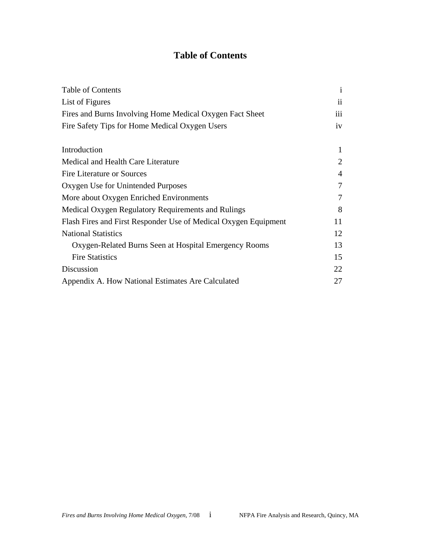### **Table of Contents**

| Table of Contents                                               | $\mathbf{i}$   |
|-----------------------------------------------------------------|----------------|
| List of Figures                                                 | $\mathbf{ii}$  |
| Fires and Burns Involving Home Medical Oxygen Fact Sheet        | iii            |
| Fire Safety Tips for Home Medical Oxygen Users                  | iv             |
| Introduction                                                    | 1              |
| Medical and Health Care Literature                              | $\overline{2}$ |
| <b>Fire Literature or Sources</b>                               | 4              |
| Oxygen Use for Unintended Purposes                              | 7              |
| More about Oxygen Enriched Environments                         | 7              |
| Medical Oxygen Regulatory Requirements and Rulings              | 8              |
| Flash Fires and First Responder Use of Medical Oxygen Equipment | 11             |
| <b>National Statistics</b>                                      |                |
| Oxygen-Related Burns Seen at Hospital Emergency Rooms           | 13             |
| <b>Fire Statistics</b>                                          | 15             |
| Discussion                                                      |                |
| Appendix A. How National Estimates Are Calculated               |                |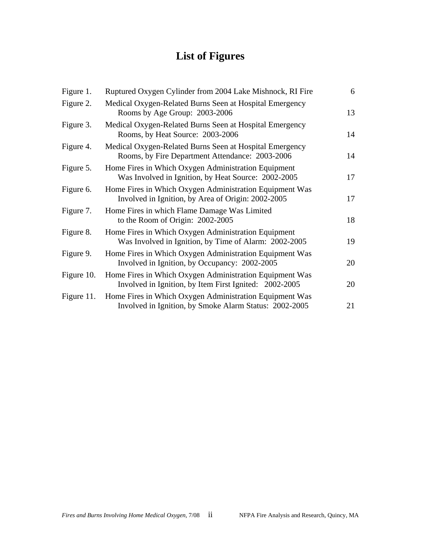# **List of Figures**

| Figure 1.  | Ruptured Oxygen Cylinder from 2004 Lake Mishnock, RI Fire                                                         | 6  |
|------------|-------------------------------------------------------------------------------------------------------------------|----|
| Figure 2.  | Medical Oxygen-Related Burns Seen at Hospital Emergency<br>Rooms by Age Group: 2003-2006                          | 13 |
| Figure 3.  | Medical Oxygen-Related Burns Seen at Hospital Emergency<br>Rooms, by Heat Source: 2003-2006                       | 14 |
| Figure 4.  | Medical Oxygen-Related Burns Seen at Hospital Emergency<br>Rooms, by Fire Department Attendance: 2003-2006        | 14 |
| Figure 5.  | Home Fires in Which Oxygen Administration Equipment<br>Was Involved in Ignition, by Heat Source: 2002-2005        | 17 |
| Figure 6.  | Home Fires in Which Oxygen Administration Equipment Was<br>Involved in Ignition, by Area of Origin: 2002-2005     | 17 |
| Figure 7.  | Home Fires in which Flame Damage Was Limited<br>to the Room of Origin: 2002-2005                                  | 18 |
| Figure 8.  | Home Fires in Which Oxygen Administration Equipment<br>Was Involved in Ignition, by Time of Alarm: 2002-2005      | 19 |
| Figure 9.  | Home Fires in Which Oxygen Administration Equipment Was<br>Involved in Ignition, by Occupancy: 2002-2005          | 20 |
| Figure 10. | Home Fires in Which Oxygen Administration Equipment Was<br>Involved in Ignition, by Item First Ignited: 2002-2005 | 20 |
| Figure 11. | Home Fires in Which Oxygen Administration Equipment Was<br>Involved in Ignition, by Smoke Alarm Status: 2002-2005 | 21 |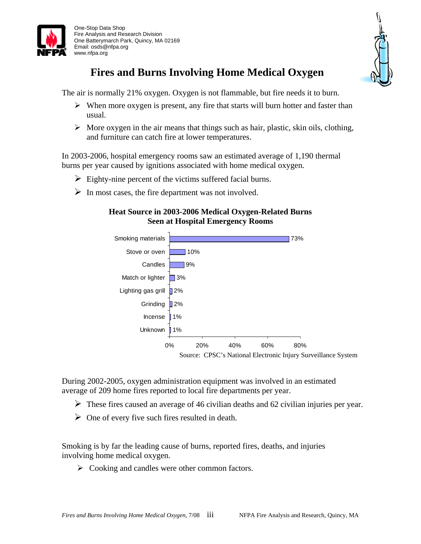

 One-Stop Data Shop Fire Analysis and Research Division One Batterymarch Park, Quincy, MA 02169 Email: [osds@nfpa.org](mailto:osds@nfpa.org)  [www.nfpa.org](http://www.nfpa.org)



## **Fires and Burns Involving Home Medical Oxygen**

The air is normally 21% oxygen. Oxygen is not flammable, but fire needs it to burn.

- $\triangleright$  When more oxygen is present, any fire that starts will burn hotter and faster than usual.
- $\triangleright$  More oxygen in the air means that things such as hair, plastic, skin oils, clothing, and furniture can catch fire at lower temperatures.

In 2003-2006, hospital emergency rooms saw an estimated average of 1,190 thermal burns per year caused by ignitions associated with home medical oxygen.

- $\triangleright$  Eighty-nine percent of the victims suffered facial burns.
- $\triangleright$  In most cases, the fire department was not involved.

### **Heat Source in 2003-2006 Medical Oxygen-Related Burns Seen at Hospital Emergency Rooms**



During 2002-2005, oxygen administration equipment was involved in an estimated average of 209 home fires reported to local fire departments per year.

- $\triangleright$  These fires caused an average of 46 civilian deaths and 62 civilian injuries per year.
- $\triangleright$  One of every five such fires resulted in death.

Smoking is by far the leading cause of burns, reported fires, deaths, and injuries involving home medical oxygen.

 $\triangleright$  Cooking and candles were other common factors.